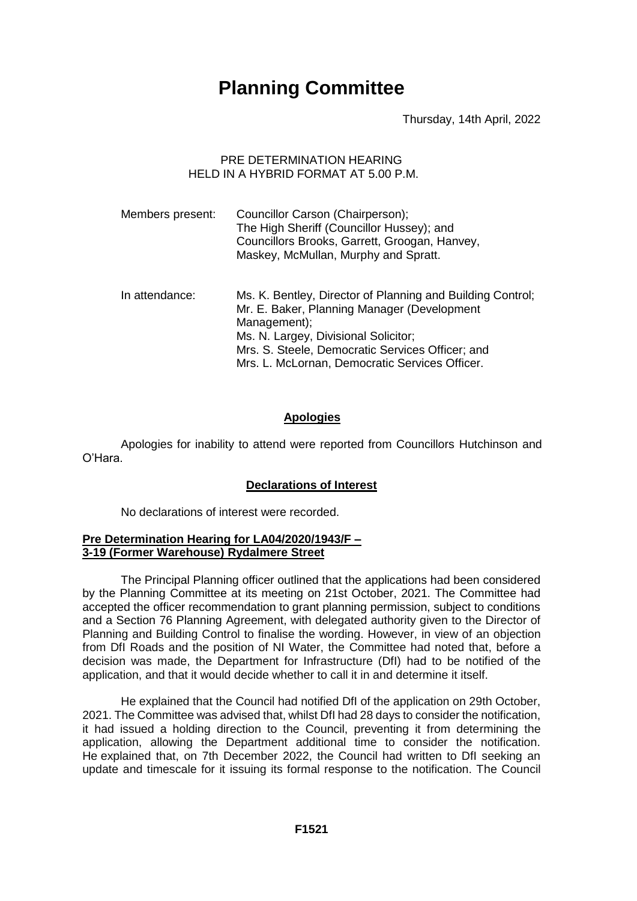# **Planning Committee**

Thursday, 14th April, 2022

# PRE DETERMINATION HEARING HELD IN A HYBRID FORMAT AT 5.00 P.M.

| Members present: | Councillor Carson (Chairperson);<br>The High Sheriff (Councillor Hussey); and<br>Councillors Brooks, Garrett, Groogan, Hanvey,<br>Maskey, McMullan, Murphy and Spratt. |
|------------------|------------------------------------------------------------------------------------------------------------------------------------------------------------------------|
| In attendance:   | Ms. K. Bentley, Director of Planning and Building Control;<br>Mr. E. Baker, Planning Manager (Development<br>Management);<br>Ms. N. Largey, Divisional Solicitor;      |
|                  | Mrs. S. Steele, Democratic Services Officer; and<br>Mrs. L. McLornan, Democratic Services Officer.                                                                     |

# **Apologies**

Apologies for inability to attend were reported from Councillors Hutchinson and O'Hara.

# **Declarations of Interest**

No declarations of interest were recorded.

#### **Pre Determination Hearing for LA04/2020/1943/F – 3-19 (Former Warehouse) Rydalmere Street**

The Principal Planning officer outlined that the applications had been considered by the Planning Committee at its meeting on 21st October, 2021. The Committee had accepted the officer recommendation to grant planning permission, subject to conditions and a Section 76 Planning Agreement, with delegated authority given to the Director of Planning and Building Control to finalise the wording. However, in view of an objection from DfI Roads and the position of NI Water, the Committee had noted that, before a decision was made, the Department for Infrastructure (DfI) had to be notified of the application, and that it would decide whether to call it in and determine it itself.

He explained that the Council had notified DfI of the application on 29th October, 2021. The Committee was advised that, whilst DfI had 28 days to consider the notification, it had issued a holding direction to the Council, preventing it from determining the application, allowing the Department additional time to consider the notification. He explained that, on 7th December 2022, the Council had written to DfI seeking an update and timescale for it issuing its formal response to the notification. The Council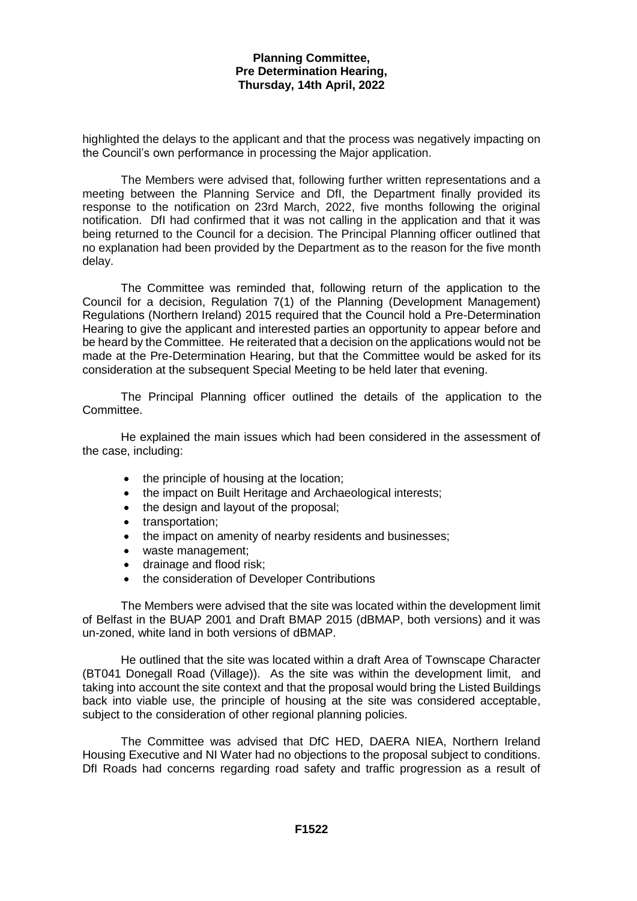#### **Planning Committee, Pre Determination Hearing, Thursday, 14th April, 2022**

highlighted the delays to the applicant and that the process was negatively impacting on the Council's own performance in processing the Major application.

The Members were advised that, following further written representations and a meeting between the Planning Service and DfI, the Department finally provided its response to the notification on 23rd March, 2022, five months following the original notification. DfI had confirmed that it was not calling in the application and that it was being returned to the Council for a decision. The Principal Planning officer outlined that no explanation had been provided by the Department as to the reason for the five month delay.

The Committee was reminded that, following return of the application to the Council for a decision, Regulation 7(1) of the Planning (Development Management) Regulations (Northern Ireland) 2015 required that the Council hold a Pre-Determination Hearing to give the applicant and interested parties an opportunity to appear before and be heard by the Committee. He reiterated that a decision on the applications would not be made at the Pre-Determination Hearing, but that the Committee would be asked for its consideration at the subsequent Special Meeting to be held later that evening.

The Principal Planning officer outlined the details of the application to the Committee.

He explained the main issues which had been considered in the assessment of the case, including:

- the principle of housing at the location;
- the impact on Built Heritage and Archaeological interests;
- the design and layout of the proposal:
- transportation:
- the impact on amenity of nearby residents and businesses;
- waste management;
- drainage and flood risk;
- the consideration of Developer Contributions

The Members were advised that the site was located within the development limit of Belfast in the BUAP 2001 and Draft BMAP 2015 (dBMAP, both versions) and it was un-zoned, white land in both versions of dBMAP.

He outlined that the site was located within a draft Area of Townscape Character (BT041 Donegall Road (Village)). As the site was within the development limit, and taking into account the site context and that the proposal would bring the Listed Buildings back into viable use, the principle of housing at the site was considered acceptable, subject to the consideration of other regional planning policies.

The Committee was advised that DfC HED, DAERA NIEA, Northern Ireland Housing Executive and NI Water had no objections to the proposal subject to conditions. DfI Roads had concerns regarding road safety and traffic progression as a result of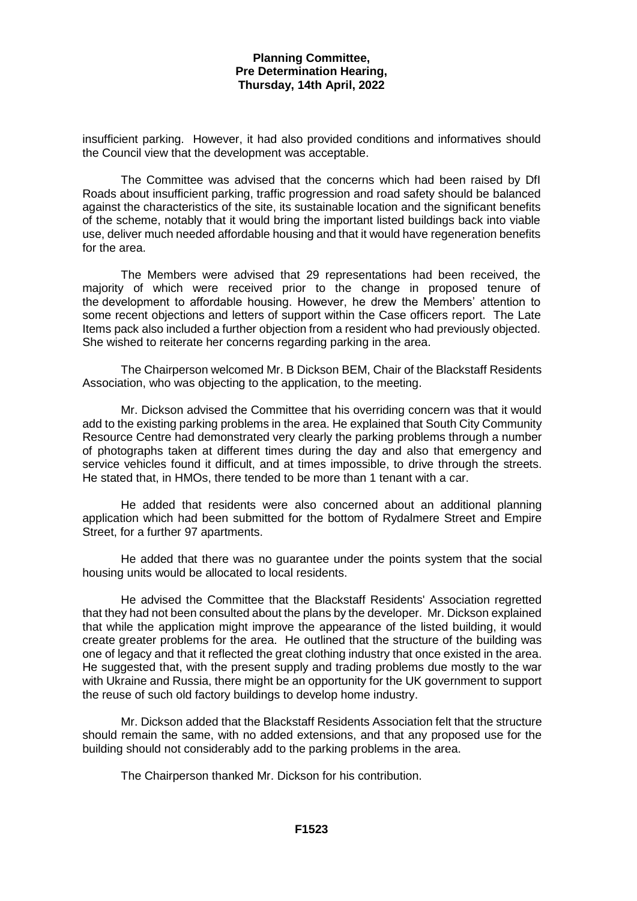#### **Planning Committee, Pre Determination Hearing, Thursday, 14th April, 2022**

insufficient parking. However, it had also provided conditions and informatives should the Council view that the development was acceptable.

The Committee was advised that the concerns which had been raised by DfI Roads about insufficient parking, traffic progression and road safety should be balanced against the characteristics of the site, its sustainable location and the significant benefits of the scheme, notably that it would bring the important listed buildings back into viable use, deliver much needed affordable housing and that it would have regeneration benefits for the area.

The Members were advised that 29 representations had been received, the majority of which were received prior to the change in proposed tenure of the development to affordable housing. However, he drew the Members' attention to some recent objections and letters of support within the Case officers report. The Late Items pack also included a further objection from a resident who had previously objected. She wished to reiterate her concerns regarding parking in the area.

The Chairperson welcomed Mr. B Dickson BEM, Chair of the Blackstaff Residents Association, who was objecting to the application, to the meeting.

Mr. Dickson advised the Committee that his overriding concern was that it would add to the existing parking problems in the area. He explained that South City Community Resource Centre had demonstrated very clearly the parking problems through a number of photographs taken at different times during the day and also that emergency and service vehicles found it difficult, and at times impossible, to drive through the streets. He stated that, in HMOs, there tended to be more than 1 tenant with a car.

He added that residents were also concerned about an additional planning application which had been submitted for the bottom of Rydalmere Street and Empire Street, for a further 97 apartments.

He added that there was no guarantee under the points system that the social housing units would be allocated to local residents.

He advised the Committee that the Blackstaff Residents' Association regretted that they had not been consulted about the plans by the developer. Mr. Dickson explained that while the application might improve the appearance of the listed building, it would create greater problems for the area. He outlined that the structure of the building was one of legacy and that it reflected the great clothing industry that once existed in the area. He suggested that, with the present supply and trading problems due mostly to the war with Ukraine and Russia, there might be an opportunity for the UK government to support the reuse of such old factory buildings to develop home industry.

Mr. Dickson added that the Blackstaff Residents Association felt that the structure should remain the same, with no added extensions, and that any proposed use for the building should not considerably add to the parking problems in the area.

The Chairperson thanked Mr. Dickson for his contribution.